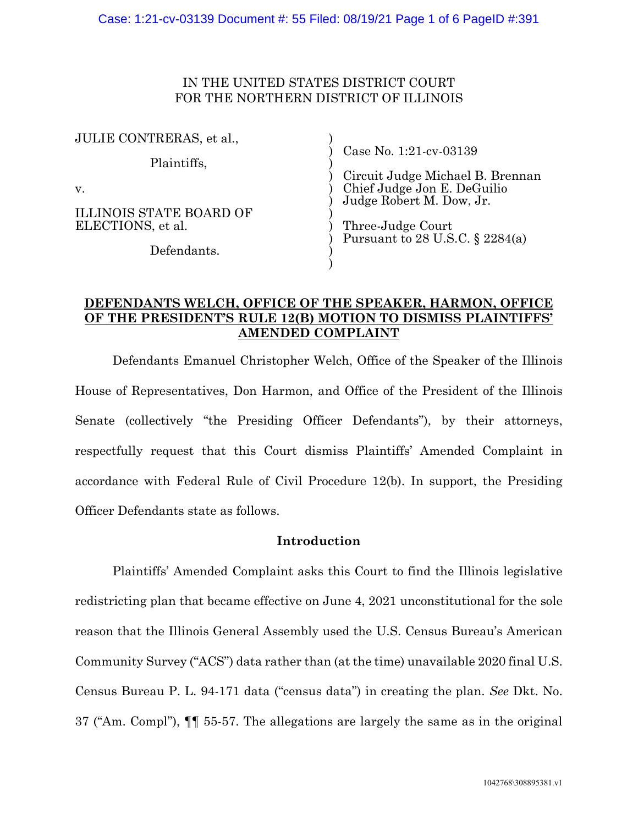## IN THE UNITED STATES DISTRICT COURT FOR THE NORTHERN DISTRICT OF ILLINOIS

| JULIE CONTRERAS, et al.,                                                         |                                                                                                                                                                               |
|----------------------------------------------------------------------------------|-------------------------------------------------------------------------------------------------------------------------------------------------------------------------------|
| Plaintiffs,<br>v.<br>ILLINOIS STATE BOARD OF<br>ELECTIONS, et al.<br>Defendants. | Case No. 1:21-cv-03139<br>Circuit Judge Michael B. Brennan<br>Chief Judge Jon E. DeGuilio<br>Judge Robert M. Dow, Jr.<br>Three-Judge Court<br>Pursuant to 28 U.S.C. § 2284(a) |
|                                                                                  |                                                                                                                                                                               |

## **DEFENDANTS WELCH, OFFICE OF THE SPEAKER, HARMON, OFFICE OF THE PRESIDENT'S RULE 12(B) MOTION TO DISMISS PLAINTIFFS' AMENDED COMPLAINT**

Defendants Emanuel Christopher Welch, Office of the Speaker of the Illinois House of Representatives, Don Harmon, and Office of the President of the Illinois Senate (collectively "the Presiding Officer Defendants"), by their attorneys, respectfully request that this Court dismiss Plaintiffs' Amended Complaint in accordance with Federal Rule of Civil Procedure 12(b). In support, the Presiding Officer Defendants state as follows.

### **Introduction**

Plaintiffs' Amended Complaint asks this Court to find the Illinois legislative redistricting plan that became effective on June 4, 2021 unconstitutional for the sole reason that the Illinois General Assembly used the U.S. Census Bureau's American Community Survey ("ACS") data rather than (at the time) unavailable 2020 final U.S. Census Bureau P. L. 94-171 data ("census data") in creating the plan. *See* Dkt. No. 37 ("Am. Compl"), ¶¶ 55-57. The allegations are largely the same as in the original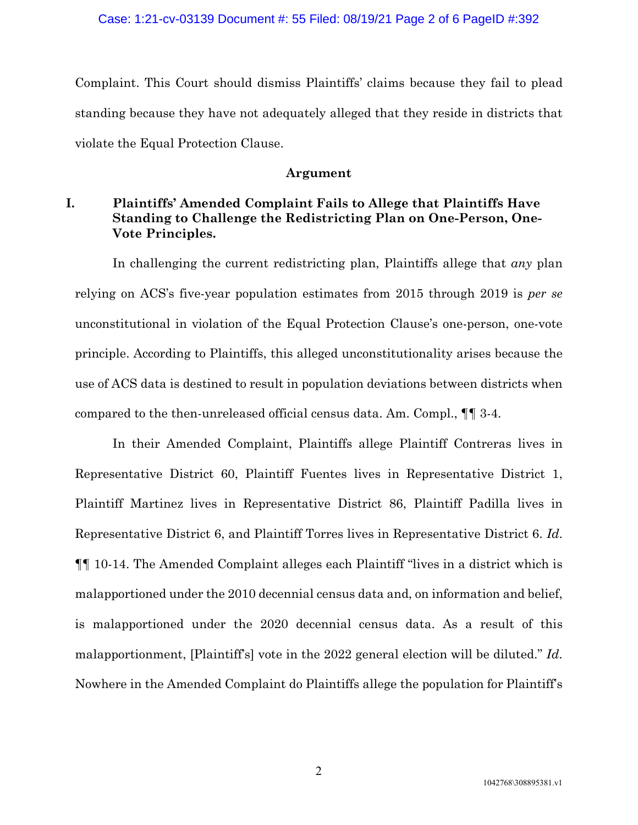Complaint. This Court should dismiss Plaintiffs' claims because they fail to plead standing because they have not adequately alleged that they reside in districts that violate the Equal Protection Clause.

#### **Argument**

# **I. Plaintiffs' Amended Complaint Fails to Allege that Plaintiffs Have Standing to Challenge the Redistricting Plan on One-Person, One-Vote Principles.**

In challenging the current redistricting plan, Plaintiffs allege that *any* plan relying on ACS's five-year population estimates from 2015 through 2019 is *per se* unconstitutional in violation of the Equal Protection Clause's one-person, one-vote principle. According to Plaintiffs, this alleged unconstitutionality arises because the use of ACS data is destined to result in population deviations between districts when compared to the then-unreleased official census data. Am. Compl., ¶¶ 3-4.

In their Amended Complaint, Plaintiffs allege Plaintiff Contreras lives in Representative District 60, Plaintiff Fuentes lives in Representative District 1, Plaintiff Martinez lives in Representative District 86, Plaintiff Padilla lives in Representative District 6, and Plaintiff Torres lives in Representative District 6. *Id*. ¶¶ 10-14. The Amended Complaint alleges each Plaintiff "lives in a district which is malapportioned under the 2010 decennial census data and, on information and belief, is malapportioned under the 2020 decennial census data. As a result of this malapportionment, [Plaintiff's] vote in the 2022 general election will be diluted." *Id*. Nowhere in the Amended Complaint do Plaintiffs allege the population for Plaintiff's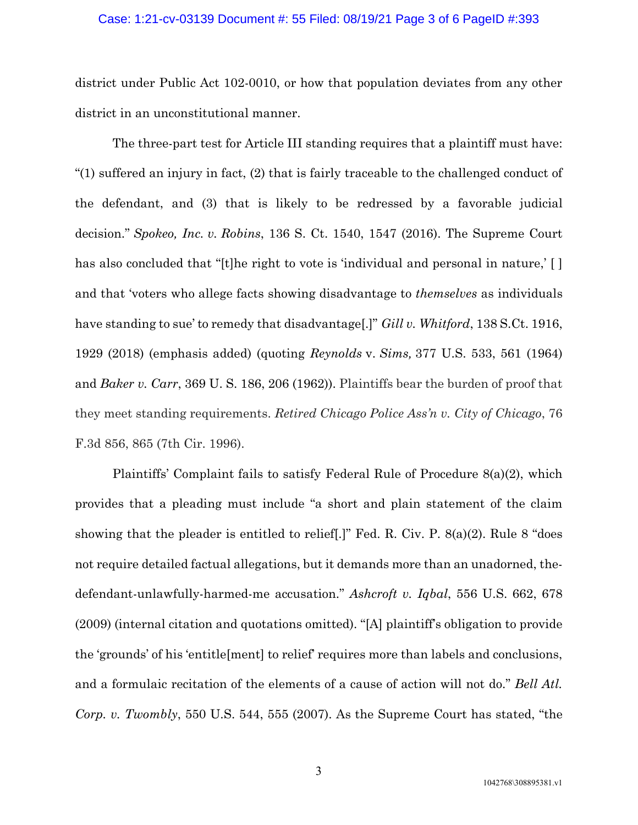#### Case: 1:21-cv-03139 Document #: 55 Filed: 08/19/21 Page 3 of 6 PageID #:393

district under Public Act 102-0010, or how that population deviates from any other district in an unconstitutional manner.

The three-part test for Article III standing requires that a plaintiff must have: "(1) suffered an injury in fact, (2) that is fairly traceable to the challenged conduct of the defendant, and (3) that is likely to be redressed by a favorable judicial decision." *Spokeo, Inc. v. Robins*, 136 S. Ct. 1540, 1547 (2016). The Supreme Court has also concluded that "[t]he right to vote is 'individual and personal in nature,' [] and that 'voters who allege facts showing disadvantage to *themselves* as individuals have standing to sue' to remedy that disadvantage[.]" *Gill v. Whitford*, 138 S.Ct. 1916, 1929 (2018) (emphasis added) (quoting *Reynolds* v. *Sims,* 377 U.S. 533, 561 (1964) and *Baker v. Carr*, 369 U. S. 186, 206 (1962)). Plaintiffs bear the burden of proof that they meet standing requirements. *Retired Chicago Police Ass'n v. City of Chicago*, 76 F.3d 856, 865 (7th Cir. 1996).

Plaintiffs' Complaint fails to satisfy Federal Rule of Procedure 8(a)(2), which provides that a pleading must include "a short and plain statement of the claim showing that the pleader is entitled to relief[.]" Fed. R. Civ. P. 8(a)(2). Rule 8 "does not require detailed factual allegations, but it demands more than an unadorned, thedefendant-unlawfully-harmed-me accusation." *Ashcroft v. Iqbal*, 556 U.S. 662, 678 (2009) (internal citation and quotations omitted). "[A] plaintiff's obligation to provide the 'grounds' of his 'entitle[ment] to relief' requires more than labels and conclusions, and a formulaic recitation of the elements of a cause of action will not do." *Bell Atl. Corp. v. Twombly*, 550 U.S. 544, 555 (2007). As the Supreme Court has stated, "the

3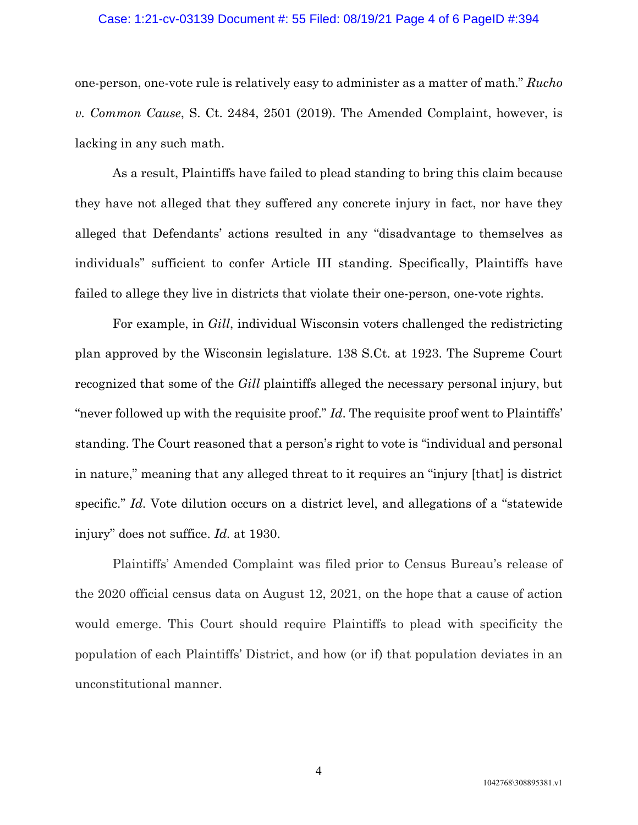#### Case: 1:21-cv-03139 Document #: 55 Filed: 08/19/21 Page 4 of 6 PageID #:394

one-person, one-vote rule is relatively easy to administer as a matter of math." *Rucho v. Common Cause*, S. Ct. 2484, 2501 (2019). The Amended Complaint, however, is lacking in any such math.

As a result, Plaintiffs have failed to plead standing to bring this claim because they have not alleged that they suffered any concrete injury in fact, nor have they alleged that Defendants' actions resulted in any "disadvantage to themselves as individuals" sufficient to confer Article III standing. Specifically, Plaintiffs have failed to allege they live in districts that violate their one-person, one-vote rights.

For example, in *Gill*, individual Wisconsin voters challenged the redistricting plan approved by the Wisconsin legislature. 138 S.Ct. at 1923. The Supreme Court recognized that some of the *Gill* plaintiffs alleged the necessary personal injury, but "never followed up with the requisite proof." *Id*. The requisite proof went to Plaintiffs' standing. The Court reasoned that a person's right to vote is "individual and personal in nature," meaning that any alleged threat to it requires an "injury [that] is district specific." *Id.* Vote dilution occurs on a district level, and allegations of a "statewide" injury" does not suffice. *Id.* at 1930.

Plaintiffs' Amended Complaint was filed prior to Census Bureau's release of the 2020 official census data on August 12, 2021, on the hope that a cause of action would emerge. This Court should require Plaintiffs to plead with specificity the population of each Plaintiffs' District, and how (or if) that population deviates in an unconstitutional manner.

4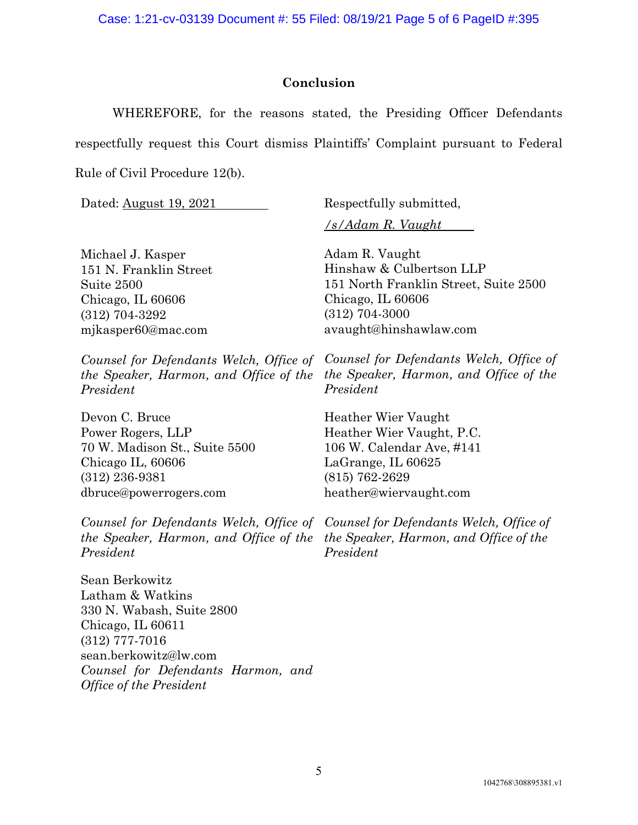# **Conclusion**

WHEREFORE, for the reasons stated, the Presiding Officer Defendants

respectfully request this Court dismiss Plaintiffs' Complaint pursuant to Federal

Rule of Civil Procedure 12(b).

Dated: August 19, 2021 Respectfully submitted,

*/s/Adam R. Vaught*

Michael J. Kasper 151 N. Franklin Street Suite 2500 Chicago, IL 60606 (312) 704-3292 mjkasper60@mac.com

*Counsel for Defendants Welch, Office of the Speaker, Harmon, and Office of the President*

Devon C. Bruce Power Rogers, LLP 70 W. Madison St., Suite 5500 Chicago IL, 60606 (312) 236-9381 dbruce@powerrogers.com

*Counsel for Defendants Welch, Office of Counsel for Defendants Welch, Office of the Speaker, Harmon, and Office of the the Speaker, Harmon, and Office of the President*

Sean Berkowitz Latham & Watkins 330 N. Wabash, Suite 2800 Chicago, IL 60611 (312) 777-7016 sean.berkowitz@lw.com *Counsel for Defendants Harmon, and Office of the President*

Adam R. Vaught Hinshaw & Culbertson LLP 151 North Franklin Street, Suite 2500 Chicago, IL 60606 (312) 704-3000 avaught@hinshawlaw.com

*Counsel for Defendants Welch, Office of the Speaker, Harmon, and Office of the President*

Heather Wier Vaught Heather Wier Vaught, P.C. 106 W. Calendar Ave, #141 LaGrange, IL 60625 (815) 762-2629 heather@wiervaught.com

*President*